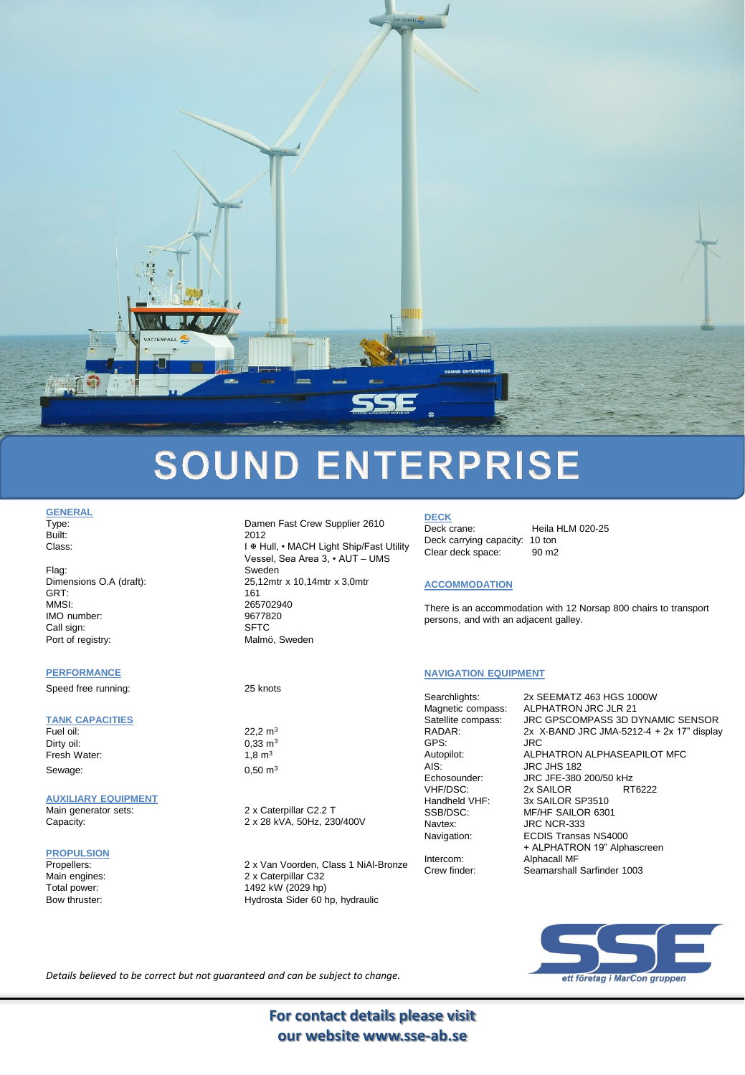

# **SOUND ENTERPRISE**

**GENERAL**<br>Type:

Flag: Sweden GRT: 161 MMSI: 265702940<br>IMO number: 265702940 IMO number: Call sign: SFTC

#### **PERFORMANCE**

Speed free running: 25 knots

### **TANK CAPACITIES**

Dirty oil: 0,33 m<sup>3</sup> Fresh Water: 1,8 m<sup>3</sup> Sewage: 0,50 m<sup>3</sup>

#### **AUXILIARY EQUIPMENT**

#### **PROPULSION**

Damen Fast Crew Supplier 2610 Built: 2012 Class: Class: I & Hull, • MACH Light Ship/Fast Utility Vessel, Sea Area 3, • AUT – UMS Dimensions O.A (draft): 25,12mtr x 10,14mtr x 3,0mtr Port of registry: Malmö, Sweden

22,2  $m<sup>3</sup>$ 

Main generator sets: 2 x Caterpillar C2.2 T Capacity: 2 x 28 kVA, 50Hz, 230/400V

Propellers: 2 x Van Voorden, Class 1 NiAl-Bronze Main engines: 2 x Caterpillar C32<br>Total power: 1492 kW (2029 hp) Total power: 1492 kW (2029 hp)<br>Bow thruster: 1492 kW (2029 hp) Hydrosta Sider 60 hp, hydraulic

**DECK** Deck crane: Heila HLM 020-25 Deck carrying capacity: 10 ton<br>Clear deck space: 90 m2 Clear deck space:

#### **ACCOMMODATION**

There is an accommodation with 12 Norsap 800 chairs to transport persons, and with an adjacent galley.

### **NAVIGATION EQUIPMENT**

Searchlights: 2x SEEMATZ 463 HGS 1000W GPS: JRC AIS: JRC JHS 182<br>Echosounder: JRC JFE-380 VHF/DSC: 2x SAILOR<br>Handbeld VHF: 3x SAILOR

Navtex: **JRC NCR-333** Intercom: Alphacall MF

Magnetic compass: ALPHATRON JRC JLR 21<br>Satellite compass: JRC GPSCOMPASS 3D D Satellite compass: JRC GPSCOMPASS 3D DYNAMIC SENSOR<br>RADAR: 2x X-BAND JRC JMA-5212-4 + 2x 17" display 2x  $X$ -BAND JRC JMA-5212-4 + 2x 17" display Autopilot: ALPHATRON ALPHASEAPILOT MFC Echosounder: JRC JFE-380 200/50 kHz<br>VHF/DSC: 2x SAILOR RT6222 Handheld VHF: 3x SAILOR SP3510<br>SSB/DSC: MF/HF SAILOR 630 MF/HF SAILOR 6301 Navigation: ECDIS Transas NS4000 + ALPHATRON 19" Alphascreen Crew finder: Seamarshall Sarfinder 1003



*Details believed to be correct but not guaranteed and can be subject to change.*

**For contact details please visit our website www.sse-ab.se**